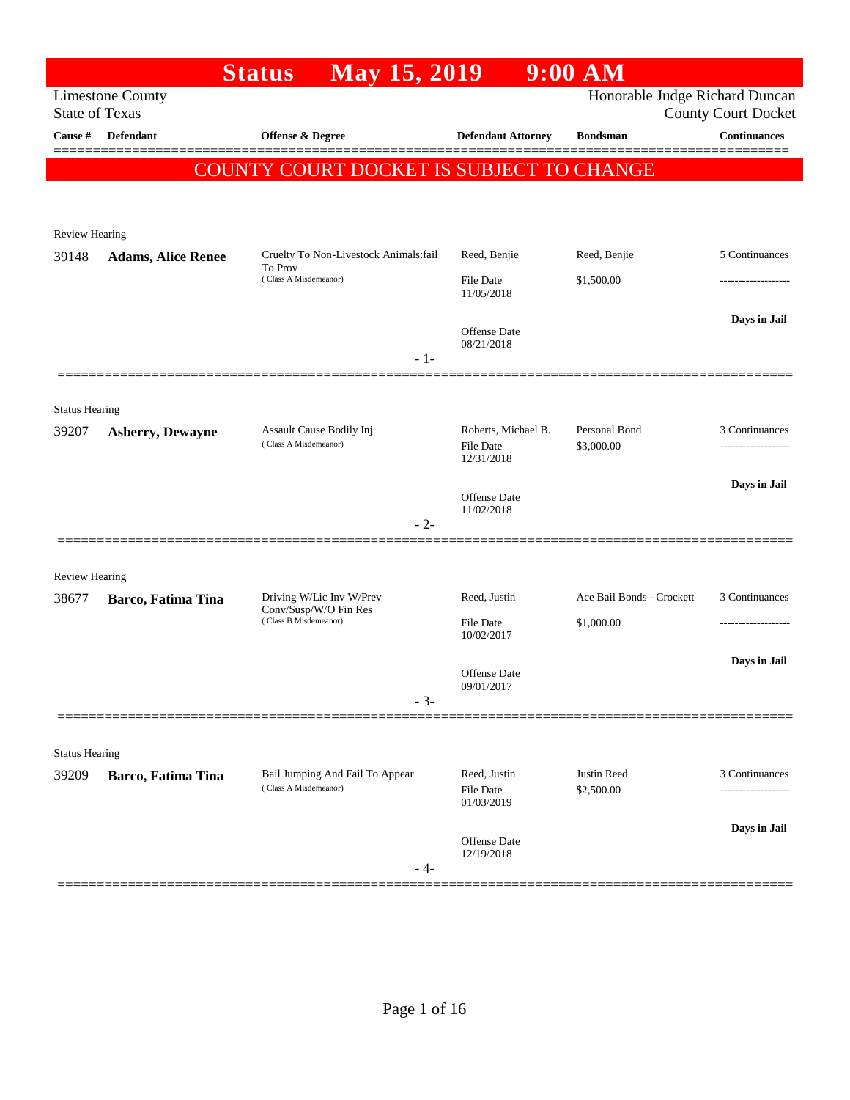| Honorable Judge Richard Duncan<br><b>County Court Docket</b> |
|--------------------------------------------------------------|
| <b>Continuances</b>                                          |
|                                                              |
|                                                              |
|                                                              |
| 5 Continuances                                               |
|                                                              |
| Days in Jail                                                 |
|                                                              |
|                                                              |
| 3 Continuances                                               |
| .                                                            |
| Days in Jail                                                 |
|                                                              |
|                                                              |
|                                                              |
| Ace Bail Bonds - Crockett<br>3 Continuances                  |
|                                                              |
| Days in Jail                                                 |
|                                                              |
|                                                              |
|                                                              |
| 3 Continuances                                               |
|                                                              |
| Days in Jail                                                 |
|                                                              |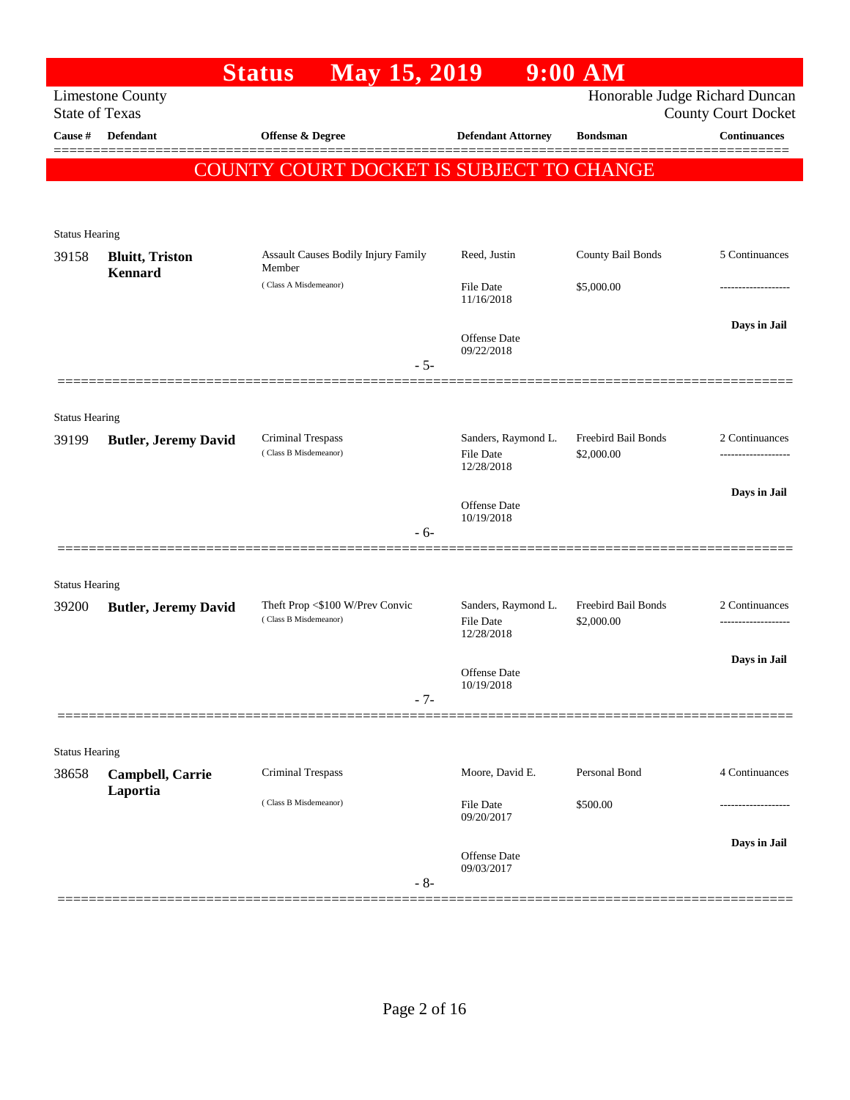|                                |                                    | <b>Status</b>                              | May 15, 2019                        |       |                                                       | $9:00$ AM                         |                                                              |
|--------------------------------|------------------------------------|--------------------------------------------|-------------------------------------|-------|-------------------------------------------------------|-----------------------------------|--------------------------------------------------------------|
| <b>State of Texas</b>          | <b>Limestone County</b>            |                                            |                                     |       |                                                       |                                   | Honorable Judge Richard Duncan<br><b>County Court Docket</b> |
| Cause #                        | <b>Defendant</b>                   | <b>Offense &amp; Degree</b>                |                                     |       | <b>Defendant Attorney</b>                             | <b>Bondsman</b>                   | <b>Continuances</b>                                          |
|                                |                                    | COUNTY COURT DOCKET IS SUBJECT TO CHANGE   |                                     |       |                                                       |                                   |                                                              |
| <b>Status Hearing</b>          |                                    |                                            |                                     |       |                                                       |                                   |                                                              |
| 39158                          | <b>Bluitt</b> , Triston<br>Kennard | Member                                     | Assault Causes Bodily Injury Family |       | Reed, Justin                                          | County Bail Bonds                 | 5 Continuances                                               |
|                                |                                    | (Class A Misdemeanor)                      |                                     |       | File Date<br>11/16/2018                               | \$5,000.00                        |                                                              |
|                                |                                    |                                            |                                     | $-5-$ | <b>Offense</b> Date<br>09/22/2018                     |                                   | Days in Jail                                                 |
|                                |                                    |                                            |                                     |       |                                                       |                                   |                                                              |
| <b>Status Hearing</b><br>39199 | <b>Butler, Jeremy David</b>        | Criminal Trespass<br>(Class B Misdemeanor) |                                     |       | Sanders, Raymond L.<br><b>File Date</b>               | Freebird Bail Bonds<br>\$2,000.00 | 2 Continuances                                               |
|                                |                                    |                                            |                                     |       | 12/28/2018                                            |                                   | Days in Jail                                                 |
|                                |                                    |                                            |                                     | $-6-$ | <b>Offense</b> Date<br>10/19/2018                     |                                   |                                                              |
|                                |                                    |                                            |                                     |       |                                                       |                                   |                                                              |
| <b>Status Hearing</b><br>39200 | <b>Butler, Jeremy David</b>        | (Class B Misdemeanor)                      | Theft Prop <\$100 W/Prev Convic     |       | Sanders, Raymond L.<br><b>File Date</b><br>12/28/2018 | Freebird Bail Bonds<br>\$2,000.00 | 2 Continuances<br>------------------                         |
|                                |                                    |                                            |                                     | $-7-$ | <b>Offense</b> Date<br>10/19/2018                     |                                   | Days in Jail                                                 |
|                                |                                    |                                            |                                     |       |                                                       |                                   |                                                              |
| <b>Status Hearing</b>          |                                    |                                            |                                     |       |                                                       |                                   |                                                              |
| 38658                          | Campbell, Carrie                   | <b>Criminal Trespass</b>                   |                                     |       | Moore, David E.                                       | Personal Bond                     | 4 Continuances                                               |
|                                | Laportia                           |                                            | (Class B Misdemeanor)               |       | <b>File Date</b><br>09/20/2017                        | \$500.00                          |                                                              |
|                                |                                    |                                            |                                     | $-8-$ | Offense Date<br>09/03/2017                            |                                   | Days in Jail                                                 |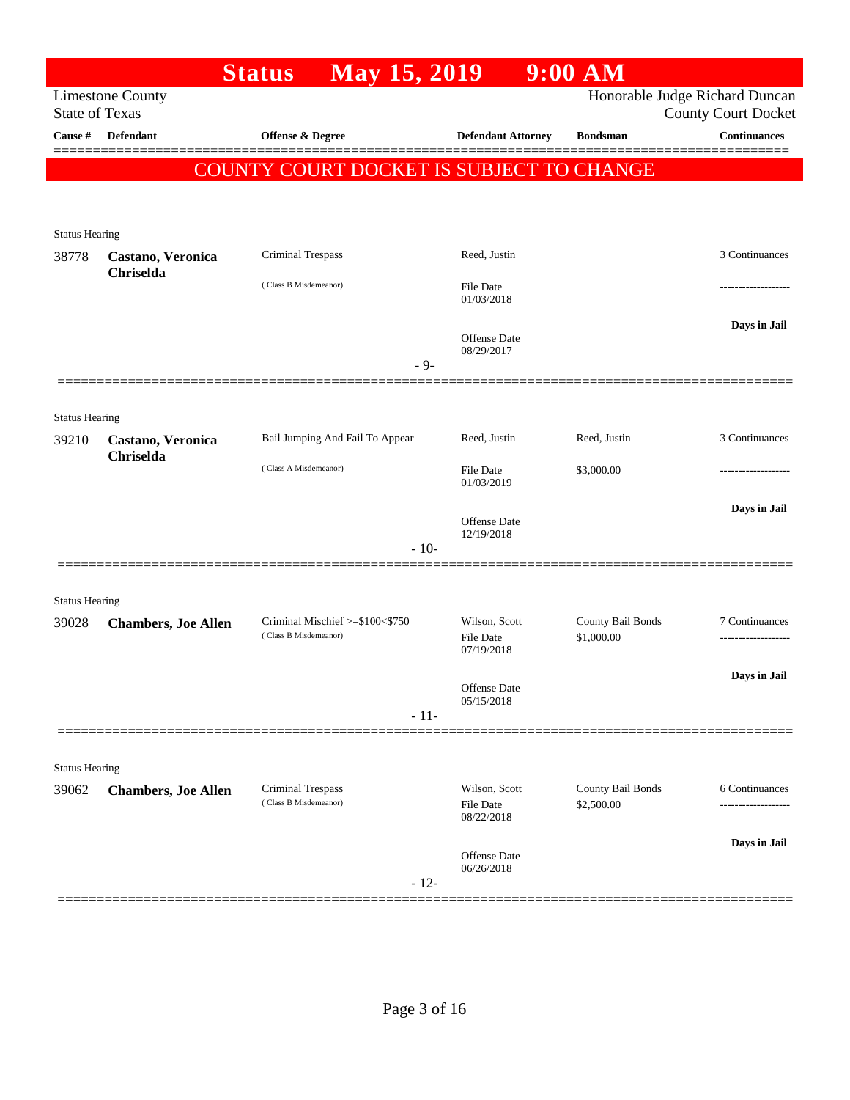| Honorable Judge Richard Duncan<br><b>Limestone County</b><br><b>State of Texas</b><br><b>County Court Docket</b><br><b>Continuances</b><br>Cause #<br>Defendant<br><b>Offense &amp; Degree</b><br><b>Defendant Attorney</b><br><b>Bondsman</b><br>COUNTY COURT DOCKET IS SUBJECT TO CHANGE<br><b>Status Hearing</b><br>3 Continuances<br>Criminal Trespass<br>Reed, Justin<br>38778<br>Castano, Veronica<br>Chriselda<br>(Class B Misdemeanor)<br><b>File Date</b><br>01/03/2018<br>Days in Jail<br>Offense Date<br>08/29/2017<br>$-9-$<br><b>Status Hearing</b><br>3 Continuances<br>Bail Jumping And Fail To Appear<br>Reed, Justin<br>Reed, Justin<br>Castano, Veronica<br>Chriselda<br>(Class A Misdemeanor)<br><b>File Date</b><br>\$3,000.00<br>01/03/2019<br>Days in Jail<br>Offense Date<br>12/19/2018<br>$-10-$<br><b>Status Hearing</b><br>Wilson, Scott<br>County Bail Bonds<br>Criminal Mischief >=\$100<\$750<br>7 Continuances<br><b>Chambers, Joe Allen</b><br>(Class B Misdemeanor)<br>File Date<br>\$1,000.00<br>07/19/2018<br>Days in Jail<br>Offense Date<br>05/15/2018<br>$-11-$<br><b>Status Hearing</b><br>Wilson, Scott<br>County Bail Bonds<br>Criminal Trespass<br>6 Continuances<br><b>Chambers, Joe Allen</b><br>(Class B Misdemeanor)<br><b>File Date</b><br>\$2,500.00<br>08/22/2018<br>Days in Jail<br>Offense Date<br>06/26/2018<br>$-12-$ |       | May 15, 2019<br><b>Status</b> |  | $9:00$ AM |  |
|---------------------------------------------------------------------------------------------------------------------------------------------------------------------------------------------------------------------------------------------------------------------------------------------------------------------------------------------------------------------------------------------------------------------------------------------------------------------------------------------------------------------------------------------------------------------------------------------------------------------------------------------------------------------------------------------------------------------------------------------------------------------------------------------------------------------------------------------------------------------------------------------------------------------------------------------------------------------------------------------------------------------------------------------------------------------------------------------------------------------------------------------------------------------------------------------------------------------------------------------------------------------------------------------------------------------------------------------------------------------------|-------|-------------------------------|--|-----------|--|
|                                                                                                                                                                                                                                                                                                                                                                                                                                                                                                                                                                                                                                                                                                                                                                                                                                                                                                                                                                                                                                                                                                                                                                                                                                                                                                                                                                           |       |                               |  |           |  |
|                                                                                                                                                                                                                                                                                                                                                                                                                                                                                                                                                                                                                                                                                                                                                                                                                                                                                                                                                                                                                                                                                                                                                                                                                                                                                                                                                                           |       |                               |  |           |  |
|                                                                                                                                                                                                                                                                                                                                                                                                                                                                                                                                                                                                                                                                                                                                                                                                                                                                                                                                                                                                                                                                                                                                                                                                                                                                                                                                                                           |       |                               |  |           |  |
|                                                                                                                                                                                                                                                                                                                                                                                                                                                                                                                                                                                                                                                                                                                                                                                                                                                                                                                                                                                                                                                                                                                                                                                                                                                                                                                                                                           |       |                               |  |           |  |
|                                                                                                                                                                                                                                                                                                                                                                                                                                                                                                                                                                                                                                                                                                                                                                                                                                                                                                                                                                                                                                                                                                                                                                                                                                                                                                                                                                           |       |                               |  |           |  |
|                                                                                                                                                                                                                                                                                                                                                                                                                                                                                                                                                                                                                                                                                                                                                                                                                                                                                                                                                                                                                                                                                                                                                                                                                                                                                                                                                                           |       |                               |  |           |  |
|                                                                                                                                                                                                                                                                                                                                                                                                                                                                                                                                                                                                                                                                                                                                                                                                                                                                                                                                                                                                                                                                                                                                                                                                                                                                                                                                                                           |       |                               |  |           |  |
|                                                                                                                                                                                                                                                                                                                                                                                                                                                                                                                                                                                                                                                                                                                                                                                                                                                                                                                                                                                                                                                                                                                                                                                                                                                                                                                                                                           |       |                               |  |           |  |
|                                                                                                                                                                                                                                                                                                                                                                                                                                                                                                                                                                                                                                                                                                                                                                                                                                                                                                                                                                                                                                                                                                                                                                                                                                                                                                                                                                           |       |                               |  |           |  |
|                                                                                                                                                                                                                                                                                                                                                                                                                                                                                                                                                                                                                                                                                                                                                                                                                                                                                                                                                                                                                                                                                                                                                                                                                                                                                                                                                                           |       |                               |  |           |  |
|                                                                                                                                                                                                                                                                                                                                                                                                                                                                                                                                                                                                                                                                                                                                                                                                                                                                                                                                                                                                                                                                                                                                                                                                                                                                                                                                                                           |       |                               |  |           |  |
|                                                                                                                                                                                                                                                                                                                                                                                                                                                                                                                                                                                                                                                                                                                                                                                                                                                                                                                                                                                                                                                                                                                                                                                                                                                                                                                                                                           |       |                               |  |           |  |
|                                                                                                                                                                                                                                                                                                                                                                                                                                                                                                                                                                                                                                                                                                                                                                                                                                                                                                                                                                                                                                                                                                                                                                                                                                                                                                                                                                           |       |                               |  |           |  |
|                                                                                                                                                                                                                                                                                                                                                                                                                                                                                                                                                                                                                                                                                                                                                                                                                                                                                                                                                                                                                                                                                                                                                                                                                                                                                                                                                                           |       |                               |  |           |  |
|                                                                                                                                                                                                                                                                                                                                                                                                                                                                                                                                                                                                                                                                                                                                                                                                                                                                                                                                                                                                                                                                                                                                                                                                                                                                                                                                                                           | 39210 |                               |  |           |  |
|                                                                                                                                                                                                                                                                                                                                                                                                                                                                                                                                                                                                                                                                                                                                                                                                                                                                                                                                                                                                                                                                                                                                                                                                                                                                                                                                                                           |       |                               |  |           |  |
|                                                                                                                                                                                                                                                                                                                                                                                                                                                                                                                                                                                                                                                                                                                                                                                                                                                                                                                                                                                                                                                                                                                                                                                                                                                                                                                                                                           |       |                               |  |           |  |
|                                                                                                                                                                                                                                                                                                                                                                                                                                                                                                                                                                                                                                                                                                                                                                                                                                                                                                                                                                                                                                                                                                                                                                                                                                                                                                                                                                           |       |                               |  |           |  |
|                                                                                                                                                                                                                                                                                                                                                                                                                                                                                                                                                                                                                                                                                                                                                                                                                                                                                                                                                                                                                                                                                                                                                                                                                                                                                                                                                                           |       |                               |  |           |  |
|                                                                                                                                                                                                                                                                                                                                                                                                                                                                                                                                                                                                                                                                                                                                                                                                                                                                                                                                                                                                                                                                                                                                                                                                                                                                                                                                                                           |       |                               |  |           |  |
|                                                                                                                                                                                                                                                                                                                                                                                                                                                                                                                                                                                                                                                                                                                                                                                                                                                                                                                                                                                                                                                                                                                                                                                                                                                                                                                                                                           |       |                               |  |           |  |
|                                                                                                                                                                                                                                                                                                                                                                                                                                                                                                                                                                                                                                                                                                                                                                                                                                                                                                                                                                                                                                                                                                                                                                                                                                                                                                                                                                           | 39028 |                               |  |           |  |
|                                                                                                                                                                                                                                                                                                                                                                                                                                                                                                                                                                                                                                                                                                                                                                                                                                                                                                                                                                                                                                                                                                                                                                                                                                                                                                                                                                           |       |                               |  |           |  |
|                                                                                                                                                                                                                                                                                                                                                                                                                                                                                                                                                                                                                                                                                                                                                                                                                                                                                                                                                                                                                                                                                                                                                                                                                                                                                                                                                                           |       |                               |  |           |  |
|                                                                                                                                                                                                                                                                                                                                                                                                                                                                                                                                                                                                                                                                                                                                                                                                                                                                                                                                                                                                                                                                                                                                                                                                                                                                                                                                                                           |       |                               |  |           |  |
|                                                                                                                                                                                                                                                                                                                                                                                                                                                                                                                                                                                                                                                                                                                                                                                                                                                                                                                                                                                                                                                                                                                                                                                                                                                                                                                                                                           |       |                               |  |           |  |
|                                                                                                                                                                                                                                                                                                                                                                                                                                                                                                                                                                                                                                                                                                                                                                                                                                                                                                                                                                                                                                                                                                                                                                                                                                                                                                                                                                           |       |                               |  |           |  |
|                                                                                                                                                                                                                                                                                                                                                                                                                                                                                                                                                                                                                                                                                                                                                                                                                                                                                                                                                                                                                                                                                                                                                                                                                                                                                                                                                                           |       |                               |  |           |  |
|                                                                                                                                                                                                                                                                                                                                                                                                                                                                                                                                                                                                                                                                                                                                                                                                                                                                                                                                                                                                                                                                                                                                                                                                                                                                                                                                                                           | 39062 |                               |  |           |  |
|                                                                                                                                                                                                                                                                                                                                                                                                                                                                                                                                                                                                                                                                                                                                                                                                                                                                                                                                                                                                                                                                                                                                                                                                                                                                                                                                                                           |       |                               |  |           |  |
|                                                                                                                                                                                                                                                                                                                                                                                                                                                                                                                                                                                                                                                                                                                                                                                                                                                                                                                                                                                                                                                                                                                                                                                                                                                                                                                                                                           |       |                               |  |           |  |
|                                                                                                                                                                                                                                                                                                                                                                                                                                                                                                                                                                                                                                                                                                                                                                                                                                                                                                                                                                                                                                                                                                                                                                                                                                                                                                                                                                           |       |                               |  |           |  |
|                                                                                                                                                                                                                                                                                                                                                                                                                                                                                                                                                                                                                                                                                                                                                                                                                                                                                                                                                                                                                                                                                                                                                                                                                                                                                                                                                                           |       |                               |  |           |  |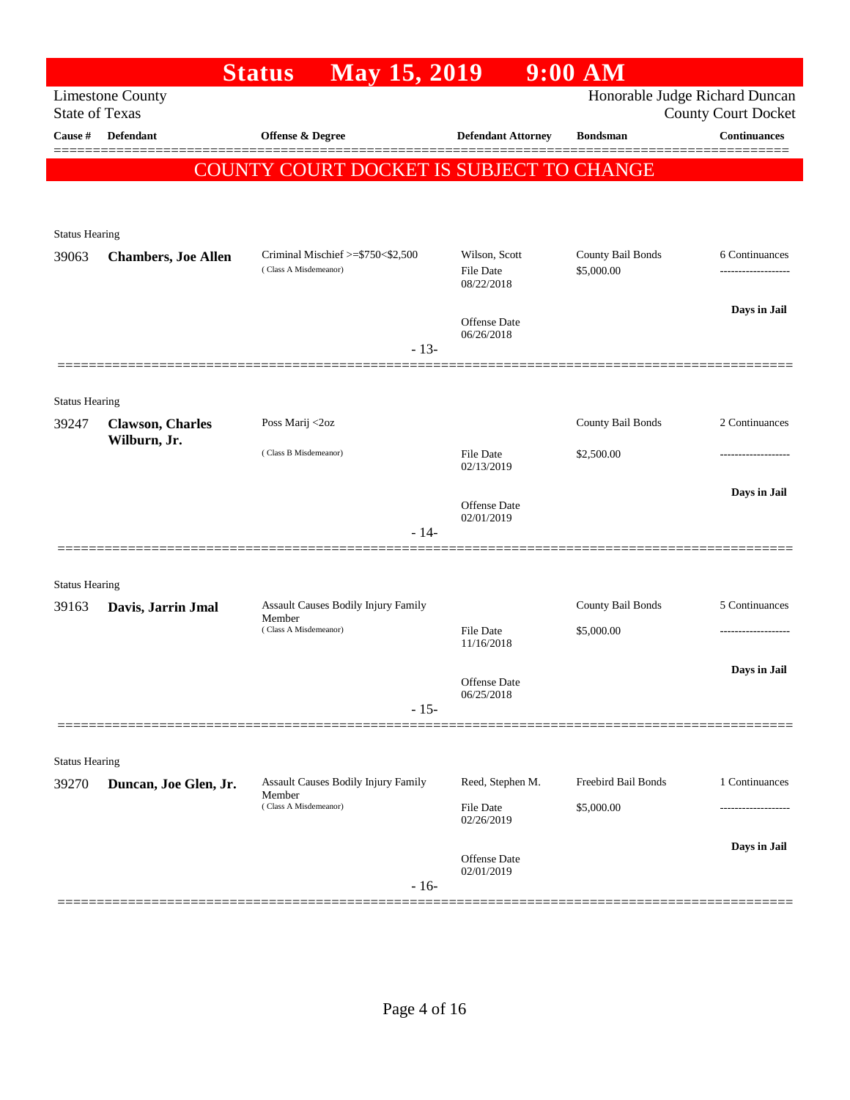|                                |                            | <b>May 15, 2019</b><br><b>Status</b>                                   |                                                 | $9:00$ AM                         |                                                              |
|--------------------------------|----------------------------|------------------------------------------------------------------------|-------------------------------------------------|-----------------------------------|--------------------------------------------------------------|
| <b>State of Texas</b>          | <b>Limestone County</b>    |                                                                        |                                                 |                                   | Honorable Judge Richard Duncan<br><b>County Court Docket</b> |
| Cause #                        | Defendant                  | Offense & Degree                                                       | <b>Defendant Attorney</b>                       | <b>Bondsman</b>                   | <b>Continuances</b>                                          |
|                                |                            | COUNTY COURT DOCKET IS SUBJECT TO CHANGE                               |                                                 |                                   |                                                              |
| <b>Status Hearing</b>          |                            |                                                                        |                                                 |                                   |                                                              |
| 39063                          | <b>Chambers, Joe Allen</b> | Criminal Mischief >=\$750<\$2,500<br>(Class A Misdemeanor)             | Wilson, Scott<br><b>File Date</b><br>08/22/2018 | County Bail Bonds<br>\$5,000.00   | 6 Continuances                                               |
|                                |                            | $-13-$                                                                 | Offense Date<br>06/26/2018                      |                                   | Days in Jail                                                 |
| <b>Status Hearing</b>          |                            |                                                                        |                                                 |                                   |                                                              |
| 39247                          | <b>Clawson</b> , Charles   | Poss Marij <2oz                                                        |                                                 | County Bail Bonds                 | 2 Continuances                                               |
|                                | Wilburn, Jr.               | (Class B Misdemeanor)                                                  | File Date<br>02/13/2019                         | \$2,500.00                        |                                                              |
|                                |                            | $-14-$                                                                 | Offense Date<br>02/01/2019                      |                                   | Days in Jail                                                 |
|                                |                            |                                                                        |                                                 |                                   |                                                              |
| <b>Status Hearing</b><br>39163 | Davis, Jarrin Jmal         | Assault Causes Bodily Injury Family                                    |                                                 | County Bail Bonds                 | 5 Continuances                                               |
|                                |                            | Member<br>(Class A Misdemeanor)                                        | File Date<br>11/16/2018                         | \$5,000.00                        |                                                              |
|                                |                            | $-15-$                                                                 | Offense Date<br>06/25/2018                      |                                   | Days in Jail                                                 |
| <b>Status Hearing</b>          |                            |                                                                        |                                                 |                                   |                                                              |
| 39270                          | Duncan, Joe Glen, Jr.      | Assault Causes Bodily Injury Family<br>Member<br>(Class A Misdemeanor) | Reed, Stephen M.<br>File Date                   | Freebird Bail Bonds<br>\$5,000.00 | 1 Continuances                                               |
|                                |                            | $-16-$                                                                 | 02/26/2019<br>Offense Date<br>02/01/2019        |                                   | Days in Jail                                                 |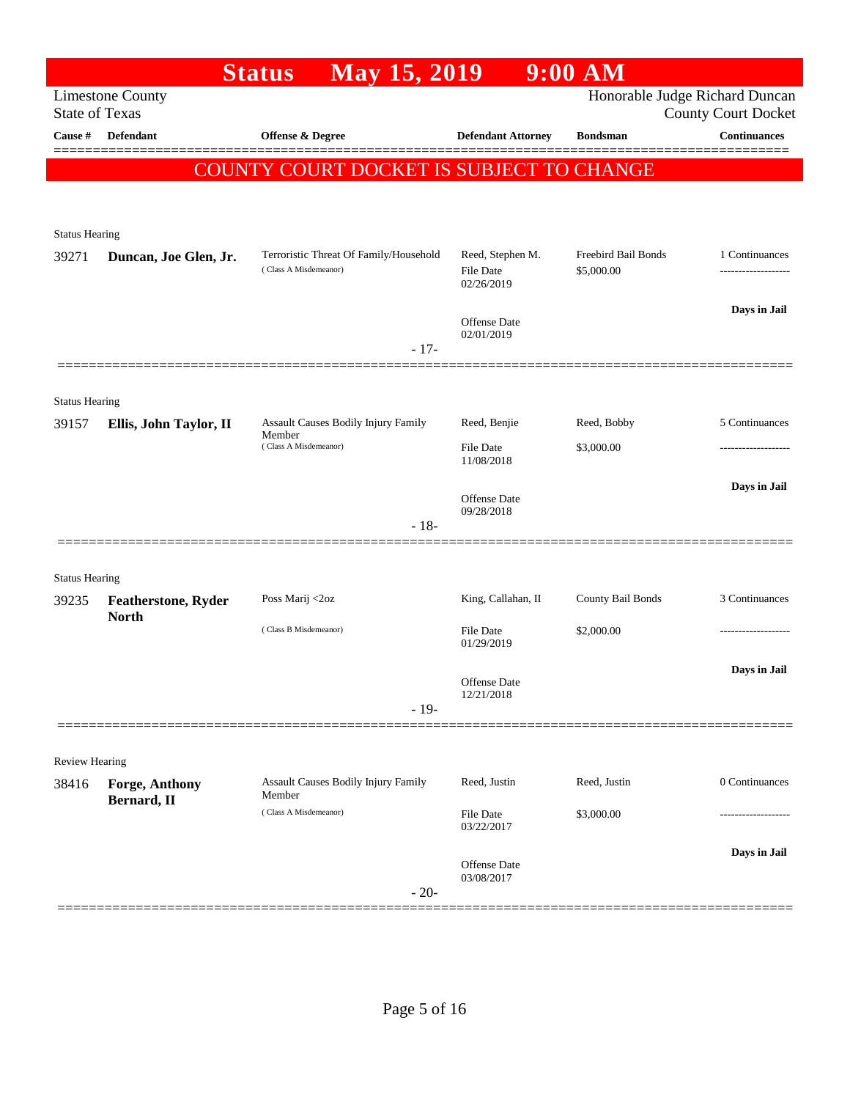|                                |                            | <b>May 15, 2019</b><br><b>Status</b>                            |                                             | $9:00$ AM                         |                                                              |
|--------------------------------|----------------------------|-----------------------------------------------------------------|---------------------------------------------|-----------------------------------|--------------------------------------------------------------|
| <b>State of Texas</b>          | <b>Limestone County</b>    |                                                                 |                                             |                                   | Honorable Judge Richard Duncan<br><b>County Court Docket</b> |
| Cause $\#$                     | <b>Defendant</b>           | <b>Offense &amp; Degree</b>                                     | <b>Defendant Attorney</b>                   | <b>Bondsman</b>                   | <b>Continuances</b>                                          |
|                                |                            | COUNTY COURT DOCKET IS SUBJECT TO CHANGE                        |                                             |                                   |                                                              |
|                                |                            |                                                                 |                                             |                                   |                                                              |
|                                |                            |                                                                 |                                             |                                   |                                                              |
| <b>Status Hearing</b>          |                            |                                                                 |                                             |                                   |                                                              |
| 39271                          | Duncan, Joe Glen, Jr.      | Terroristic Threat Of Family/Household<br>(Class A Misdemeanor) | Reed, Stephen M.<br>File Date<br>02/26/2019 | Freebird Bail Bonds<br>\$5,000.00 | 1 Continuances                                               |
|                                |                            |                                                                 | Offense Date                                |                                   | Days in Jail                                                 |
|                                |                            | $-17-$                                                          | 02/01/2019                                  |                                   |                                                              |
|                                |                            |                                                                 |                                             |                                   |                                                              |
| <b>Status Hearing</b>          |                            |                                                                 |                                             |                                   |                                                              |
| 39157                          | Ellis, John Taylor, II     | Assault Causes Bodily Injury Family<br>Member                   | Reed, Benjie                                | Reed, Bobby                       | 5 Continuances                                               |
|                                |                            | (Class A Misdemeanor)                                           | <b>File Date</b><br>11/08/2018              | \$3,000.00                        |                                                              |
|                                |                            |                                                                 |                                             |                                   | Days in Jail                                                 |
|                                |                            |                                                                 | Offense Date<br>09/28/2018                  |                                   |                                                              |
|                                |                            | $-18-$                                                          |                                             |                                   |                                                              |
|                                |                            |                                                                 |                                             |                                   |                                                              |
| <b>Status Hearing</b><br>39235 | <b>Featherstone, Ryder</b> | Poss Marij <2oz                                                 | King, Callahan, II                          | County Bail Bonds                 | 3 Continuances                                               |
|                                | <b>North</b>               | (Class B Misdemeanor)                                           |                                             |                                   |                                                              |
|                                |                            |                                                                 | <b>File Date</b><br>01/29/2019              | \$2,000.00                        |                                                              |
|                                |                            |                                                                 |                                             |                                   | Days in Jail                                                 |
|                                |                            |                                                                 | Offense Date<br>12/21/2018                  |                                   |                                                              |
|                                |                            | $-19-$                                                          |                                             |                                   |                                                              |
| <b>Review Hearing</b>          |                            |                                                                 |                                             |                                   |                                                              |
| 38416                          | <b>Forge, Anthony</b>      | Assault Causes Bodily Injury Family                             | Reed, Justin                                | Reed, Justin                      | 0 Continuances                                               |
|                                | Bernard, II                | Member<br>(Class A Misdemeanor)                                 | File Date                                   | \$3,000.00                        |                                                              |
|                                |                            |                                                                 | 03/22/2017                                  |                                   |                                                              |
|                                |                            |                                                                 | Offense Date                                |                                   | Days in Jail                                                 |
|                                |                            | $-20-$                                                          | 03/08/2017                                  |                                   |                                                              |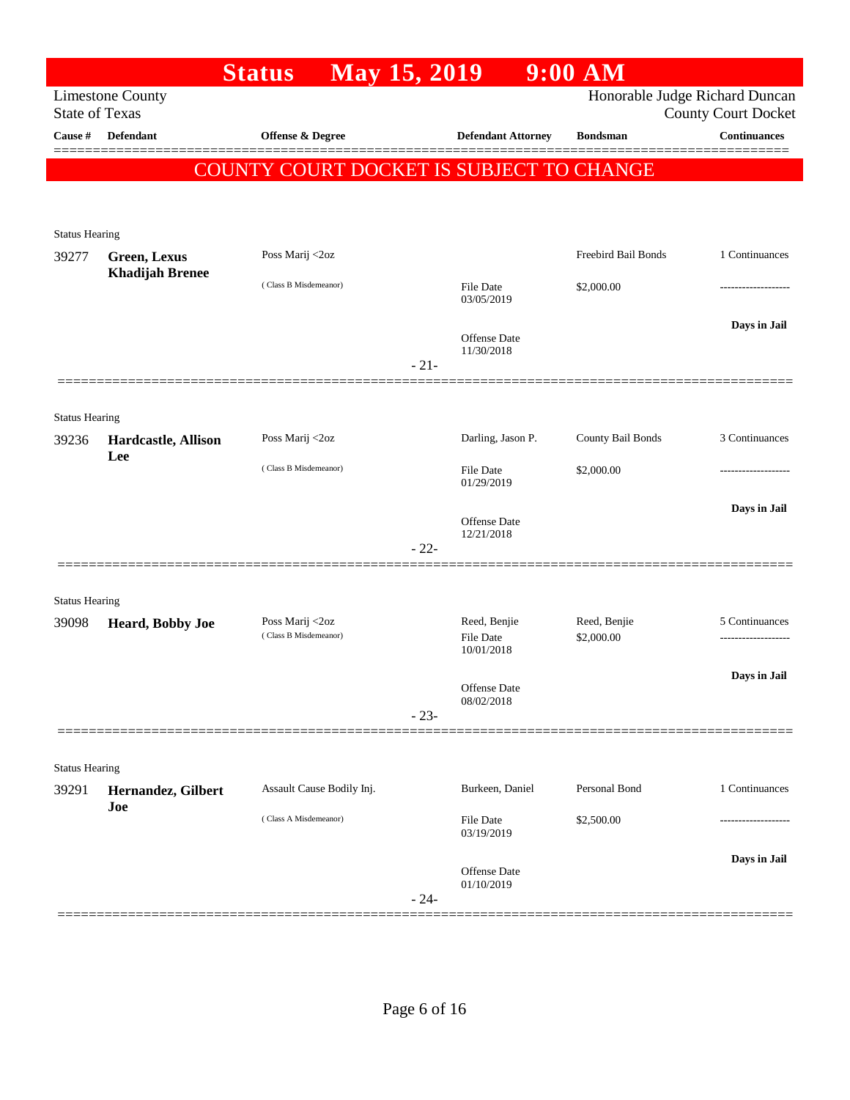|                       |                                               | <b>May 15, 2019</b><br><b>Status</b>     |        |                                | $9:00$ AM                  |                                |
|-----------------------|-----------------------------------------------|------------------------------------------|--------|--------------------------------|----------------------------|--------------------------------|
|                       | <b>Limestone County</b>                       |                                          |        |                                |                            | Honorable Judge Richard Duncan |
| <b>State of Texas</b> |                                               |                                          |        |                                |                            | <b>County Court Docket</b>     |
| Cause #               | Defendant                                     | Offense & Degree                         |        | <b>Defendant Attorney</b>      | <b>Bondsman</b>            | <b>Continuances</b>            |
|                       |                                               | COUNTY COURT DOCKET IS SUBJECT TO CHANGE |        |                                |                            |                                |
|                       |                                               |                                          |        |                                |                            |                                |
|                       |                                               |                                          |        |                                |                            |                                |
| <b>Status Hearing</b> |                                               |                                          |        |                                |                            |                                |
| 39277                 | <b>Green, Lexus</b><br><b>Khadijah Brenee</b> | Poss Marij <2oz                          |        |                                | Freebird Bail Bonds        | 1 Continuances                 |
|                       |                                               | (Class B Misdemeanor)                    |        | File Date<br>03/05/2019        | \$2,000.00                 |                                |
|                       |                                               |                                          |        |                                |                            |                                |
|                       |                                               |                                          |        | Offense Date                   |                            | Days in Jail                   |
|                       |                                               |                                          | $-21-$ | 11/30/2018                     |                            |                                |
|                       |                                               |                                          |        |                                |                            |                                |
| <b>Status Hearing</b> |                                               |                                          |        |                                |                            |                                |
| 39236                 | Hardcastle, Allison                           | Poss Marij <2oz                          |        | Darling, Jason P.              | County Bail Bonds          | 3 Continuances                 |
|                       | Lee                                           |                                          |        |                                |                            |                                |
|                       |                                               | (Class B Misdemeanor)                    |        | <b>File Date</b><br>01/29/2019 | \$2,000.00                 |                                |
|                       |                                               |                                          |        |                                |                            | Days in Jail                   |
|                       |                                               |                                          |        | Offense Date<br>12/21/2018     |                            |                                |
|                       |                                               |                                          | $-22-$ |                                |                            |                                |
|                       |                                               |                                          |        |                                |                            |                                |
| <b>Status Hearing</b> |                                               |                                          |        |                                |                            |                                |
| 39098                 | Heard, Bobby Joe                              | Poss Marij <2oz<br>(Class B Misdemeanor) |        | Reed, Benjie<br>File Date      | Reed, Benjie<br>\$2,000.00 | 5 Continuances                 |
|                       |                                               |                                          |        | 10/01/2018                     |                            |                                |
|                       |                                               |                                          |        |                                |                            | Days in Jail                   |
|                       |                                               |                                          |        | Offense Date<br>08/02/2018     |                            |                                |
|                       |                                               |                                          | $-23-$ |                                |                            |                                |
|                       |                                               |                                          |        |                                |                            |                                |
| <b>Status Hearing</b> |                                               |                                          |        |                                |                            |                                |
| 39291                 | Hernandez, Gilbert<br>Joe                     | Assault Cause Bodily Inj.                |        | Burkeen, Daniel                | Personal Bond              | 1 Continuances                 |
|                       |                                               | (Class A Misdemeanor)                    |        | File Date                      | \$2,500.00                 |                                |
|                       |                                               |                                          |        | 03/19/2019                     |                            |                                |
|                       |                                               |                                          |        | Offense Date                   |                            | Days in Jail                   |
|                       |                                               |                                          | $-24-$ | 01/10/2019                     |                            |                                |
|                       |                                               |                                          |        |                                |                            |                                |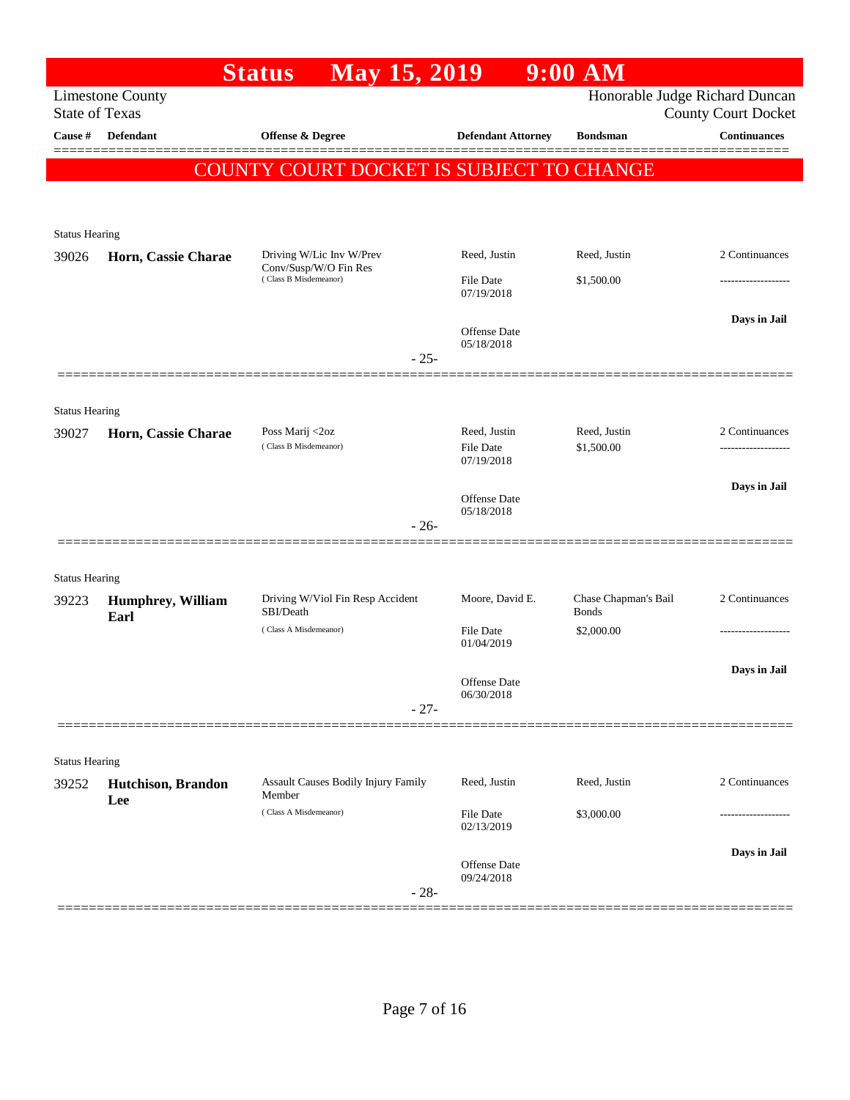|                       |                           | <b>May 15, 2019</b><br><b>Status</b>                 |                                  | $9:00$ AM                            |                                                              |
|-----------------------|---------------------------|------------------------------------------------------|----------------------------------|--------------------------------------|--------------------------------------------------------------|
| <b>State of Texas</b> | <b>Limestone County</b>   |                                                      |                                  |                                      | Honorable Judge Richard Duncan<br><b>County Court Docket</b> |
| Cause #               | Defendant                 | <b>Offense &amp; Degree</b>                          | <b>Defendant Attorney</b>        | <b>Bondsman</b>                      | <b>Continuances</b>                                          |
|                       |                           | COUNTY COURT DOCKET IS SUBJECT TO CHANGE             |                                  |                                      |                                                              |
|                       |                           |                                                      |                                  |                                      |                                                              |
| <b>Status Hearing</b> |                           |                                                      |                                  |                                      |                                                              |
| 39026                 | Horn, Cassie Charae       | Driving W/Lic Inv W/Prev                             | Reed, Justin                     | Reed, Justin                         | 2 Continuances                                               |
|                       |                           | Conv/Susp/W/O Fin Res<br>(Class B Misdemeanor)       | <b>File Date</b>                 | \$1,500.00                           |                                                              |
|                       |                           |                                                      | 07/19/2018                       |                                      |                                                              |
|                       |                           |                                                      | Offense Date                     |                                      | Days in Jail                                                 |
|                       |                           | $-25-$                                               | 05/18/2018                       |                                      |                                                              |
|                       |                           |                                                      |                                  |                                      |                                                              |
| <b>Status Hearing</b> |                           |                                                      |                                  |                                      |                                                              |
| 39027                 | Horn, Cassie Charae       | Poss Marij <2oz<br>(Class B Misdemeanor)             | Reed, Justin<br><b>File Date</b> | Reed, Justin<br>\$1,500.00           | 2 Continuances                                               |
|                       |                           |                                                      | 07/19/2018                       |                                      |                                                              |
|                       |                           |                                                      | Offense Date                     |                                      | Days in Jail                                                 |
|                       |                           | $-26-$                                               | 05/18/2018                       |                                      |                                                              |
|                       |                           |                                                      |                                  |                                      |                                                              |
| <b>Status Hearing</b> |                           |                                                      |                                  |                                      |                                                              |
| 39223                 | Humphrey, William<br>Earl | Driving W/Viol Fin Resp Accident<br>SBI/Death        | Moore, David E.                  | Chase Chapman's Bail<br><b>Bonds</b> | 2 Continuances                                               |
|                       |                           | (Class A Misdemeanor)                                | <b>File Date</b>                 | \$2,000.00                           |                                                              |
|                       |                           |                                                      | 01/04/2019                       |                                      | Days in Jail                                                 |
|                       |                           |                                                      | Offense Date<br>06/30/2018       |                                      |                                                              |
|                       |                           | $-27-$                                               |                                  |                                      |                                                              |
|                       |                           |                                                      |                                  |                                      |                                                              |
| <b>Status Hearing</b> |                           |                                                      |                                  |                                      |                                                              |
| 39252                 | Hutchison, Brandon<br>Lee | <b>Assault Causes Bodily Injury Family</b><br>Member | Reed, Justin                     | Reed, Justin                         | 2 Continuances                                               |
|                       |                           | (Class A Misdemeanor)                                | <b>File Date</b><br>02/13/2019   | \$3,000.00                           |                                                              |
|                       |                           |                                                      |                                  |                                      | Days in Jail                                                 |
|                       |                           |                                                      | Offense Date<br>09/24/2018       |                                      |                                                              |
|                       |                           | $-28-$                                               |                                  |                                      |                                                              |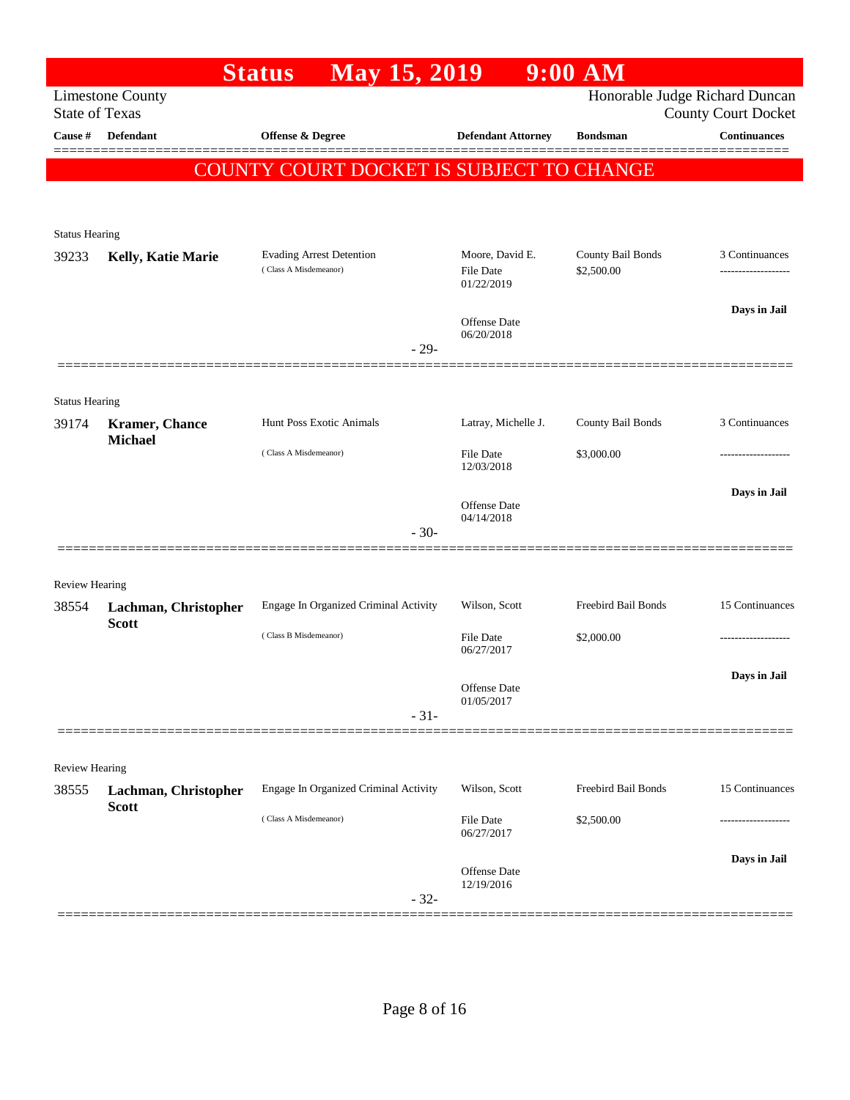|                         |                                  | <b>Status</b>                                            | <b>May 15, 2019</b> |                                                   | $9:00$ AM                       |                                                              |
|-------------------------|----------------------------------|----------------------------------------------------------|---------------------|---------------------------------------------------|---------------------------------|--------------------------------------------------------------|
| <b>State of Texas</b>   | <b>Limestone County</b>          |                                                          |                     |                                                   |                                 | Honorable Judge Richard Duncan<br><b>County Court Docket</b> |
| Cause #                 | <b>Defendant</b>                 | Offense & Degree                                         |                     | <b>Defendant Attorney</b>                         | <b>Bondsman</b>                 | <b>Continuances</b>                                          |
|                         |                                  | COUNTY COURT DOCKET IS SUBJECT TO CHANGE                 |                     |                                                   |                                 |                                                              |
|                         |                                  |                                                          |                     |                                                   |                                 |                                                              |
|                         |                                  |                                                          |                     |                                                   |                                 |                                                              |
| <b>Status Hearing</b>   |                                  |                                                          |                     |                                                   |                                 |                                                              |
| 39233                   | Kelly, Katie Marie               | <b>Evading Arrest Detention</b><br>(Class A Misdemeanor) |                     | Moore, David E.<br><b>File Date</b><br>01/22/2019 | County Bail Bonds<br>\$2,500.00 | 3 Continuances                                               |
|                         |                                  |                                                          |                     |                                                   |                                 | Days in Jail                                                 |
|                         |                                  |                                                          | $-29-$              | Offense Date<br>06/20/2018                        |                                 |                                                              |
|                         |                                  |                                                          |                     |                                                   |                                 |                                                              |
| <b>Status Hearing</b>   |                                  |                                                          |                     |                                                   |                                 |                                                              |
| 39174                   | Kramer, Chance<br><b>Michael</b> | Hunt Poss Exotic Animals                                 |                     | Latray, Michelle J.                               | County Bail Bonds               | 3 Continuances                                               |
|                         |                                  | (Class A Misdemeanor)                                    |                     | <b>File Date</b><br>12/03/2018                    | \$3,000.00                      |                                                              |
|                         |                                  |                                                          |                     | Offense Date                                      |                                 | Days in Jail                                                 |
|                         |                                  |                                                          | $-30-$              | 04/14/2018                                        |                                 |                                                              |
|                         |                                  |                                                          |                     |                                                   |                                 |                                                              |
| <b>Review Hearing</b>   |                                  |                                                          |                     |                                                   |                                 |                                                              |
| 38554                   | Lachman, Christopher             | Engage In Organized Criminal Activity                    |                     | Wilson, Scott                                     | Freebird Bail Bonds             | 15 Continuances                                              |
|                         | <b>Scott</b>                     | (Class B Misdemeanor)                                    |                     | <b>File Date</b><br>06/27/2017                    | \$2,000.00                      |                                                              |
|                         |                                  |                                                          |                     |                                                   |                                 | Days in Jail                                                 |
|                         |                                  |                                                          |                     | Offense Date<br>01/05/2017                        |                                 |                                                              |
|                         |                                  |                                                          | $-31-$              |                                                   |                                 |                                                              |
|                         |                                  |                                                          |                     |                                                   |                                 |                                                              |
| Review Hearing<br>38555 | Lachman, Christopher             | Engage In Organized Criminal Activity                    |                     | Wilson, Scott                                     | Freebird Bail Bonds             | 15 Continuances                                              |
|                         | <b>Scott</b>                     | (Class A Misdemeanor)                                    |                     |                                                   |                                 |                                                              |
|                         |                                  |                                                          |                     | <b>File Date</b><br>06/27/2017                    | \$2,500.00                      |                                                              |
|                         |                                  |                                                          |                     | Offense Date                                      |                                 | Days in Jail                                                 |
|                         |                                  |                                                          | $-32-$              | 12/19/2016                                        |                                 |                                                              |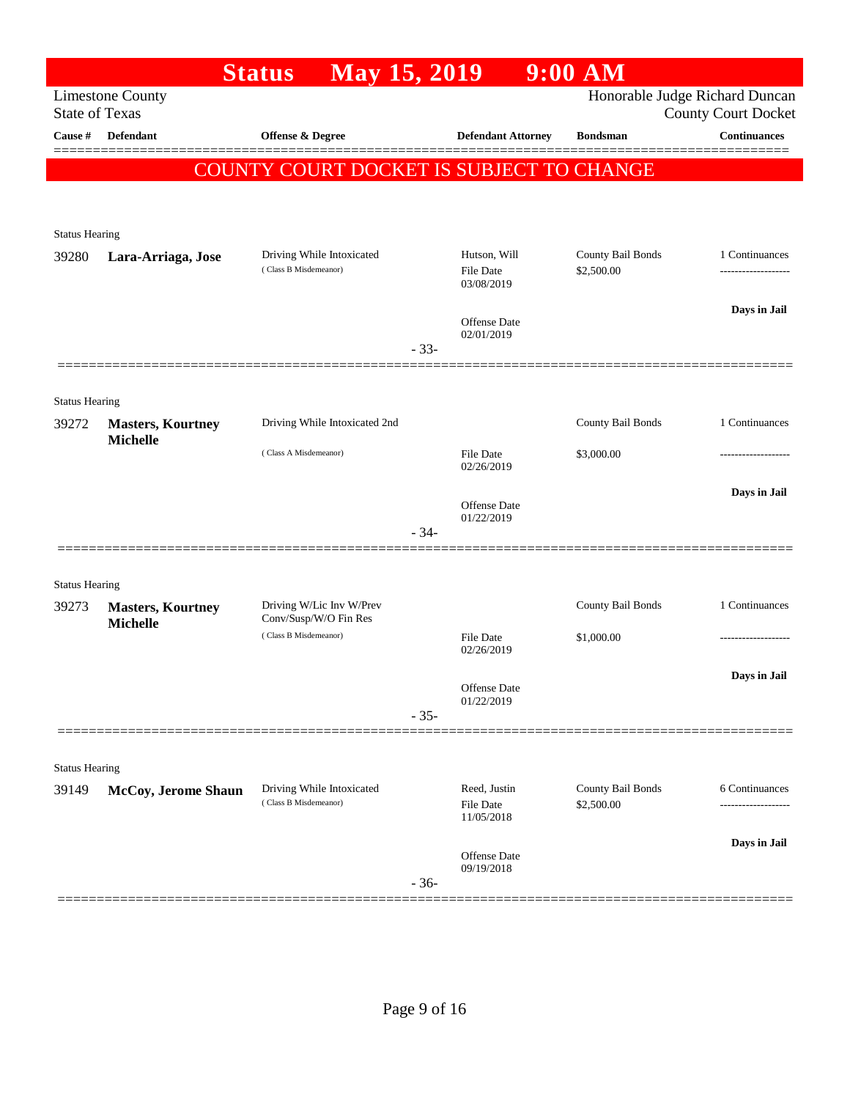|                                |                                             | May 15, 2019<br><b>Status</b>                   |        |                                   | $9:00$ AM         |                                                              |
|--------------------------------|---------------------------------------------|-------------------------------------------------|--------|-----------------------------------|-------------------|--------------------------------------------------------------|
| <b>State of Texas</b>          | <b>Limestone County</b>                     |                                                 |        |                                   |                   | Honorable Judge Richard Duncan<br><b>County Court Docket</b> |
| <b>Cause</b> #                 | Defendant                                   | Offense & Degree                                |        | <b>Defendant Attorney</b>         | <b>Bondsman</b>   | <b>Continuances</b>                                          |
|                                |                                             | <b>COUNTY COURT DOCKET IS SUBJECT TO CHANGE</b> |        |                                   |                   |                                                              |
|                                |                                             |                                                 |        |                                   |                   |                                                              |
| <b>Status Hearing</b>          |                                             |                                                 |        |                                   |                   |                                                              |
| 39280                          | Lara-Arriaga, Jose                          | Driving While Intoxicated                       |        | Hutson, Will                      | County Bail Bonds | 1 Continuances                                               |
|                                |                                             | (Class B Misdemeanor)                           |        | <b>File Date</b><br>03/08/2019    | \$2,500.00        |                                                              |
|                                |                                             |                                                 |        |                                   |                   | Days in Jail                                                 |
|                                |                                             |                                                 |        | Offense Date<br>02/01/2019        |                   |                                                              |
|                                |                                             |                                                 | $-33-$ |                                   |                   |                                                              |
|                                |                                             |                                                 |        |                                   |                   |                                                              |
| <b>Status Hearing</b>          |                                             | Driving While Intoxicated 2nd                   |        |                                   | County Bail Bonds | 1 Continuances                                               |
| 39272                          | <b>Masters, Kourtney</b><br><b>Michelle</b> |                                                 |        |                                   |                   |                                                              |
|                                |                                             | (Class A Misdemeanor)                           |        | <b>File Date</b><br>02/26/2019    | \$3,000.00        |                                                              |
|                                |                                             |                                                 |        |                                   |                   | Days in Jail                                                 |
|                                |                                             |                                                 |        | Offense Date<br>01/22/2019        |                   |                                                              |
|                                |                                             |                                                 | $-34-$ |                                   |                   |                                                              |
|                                |                                             |                                                 |        |                                   |                   |                                                              |
| <b>Status Hearing</b><br>39273 | <b>Masters, Kourtney</b>                    | Driving W/Lic Inv W/Prev                        |        |                                   | County Bail Bonds | 1 Continuances                                               |
|                                | <b>Michelle</b>                             | Conv/Susp/W/O Fin Res                           |        |                                   |                   |                                                              |
|                                |                                             | (Class B Misdemeanor)                           |        | <b>File Date</b><br>02/26/2019    | \$1,000.00        |                                                              |
|                                |                                             |                                                 |        |                                   |                   | Days in Jail                                                 |
|                                |                                             |                                                 |        | Offense Date<br>01/22/2019        |                   |                                                              |
|                                |                                             |                                                 | $-35-$ |                                   |                   |                                                              |
| <b>Status Hearing</b>          |                                             |                                                 |        |                                   |                   |                                                              |
| 39149                          | McCoy, Jerome Shaun                         | Driving While Intoxicated                       |        | Reed, Justin                      | County Bail Bonds | 6 Continuances                                               |
|                                |                                             | (Class B Misdemeanor)                           |        | <b>File Date</b><br>11/05/2018    | \$2,500.00        | .                                                            |
|                                |                                             |                                                 |        |                                   |                   | Days in Jail                                                 |
|                                |                                             |                                                 |        | <b>Offense Date</b><br>09/19/2018 |                   |                                                              |
|                                |                                             |                                                 | $-36-$ |                                   |                   |                                                              |
|                                |                                             |                                                 |        |                                   |                   |                                                              |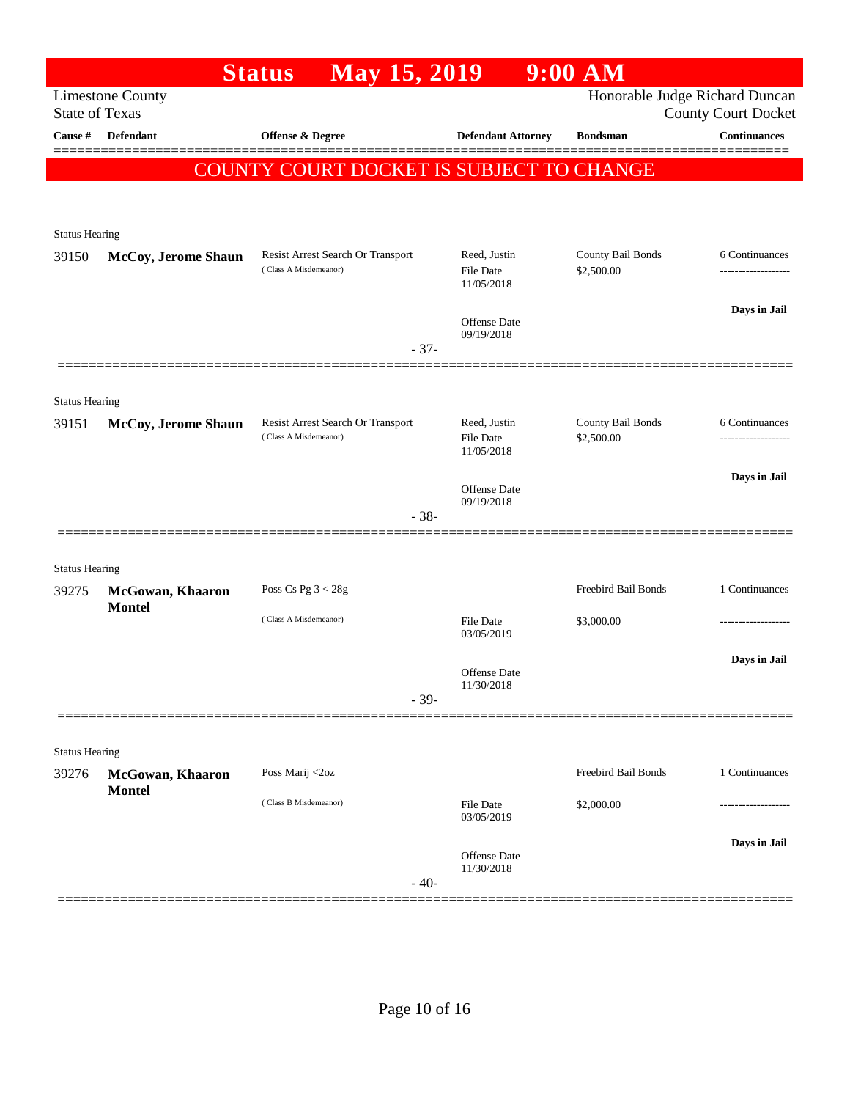|                       |                                   | May 15, 2019<br><b>Status</b>                              |                                                | $9:00$ AM                       |                                                              |
|-----------------------|-----------------------------------|------------------------------------------------------------|------------------------------------------------|---------------------------------|--------------------------------------------------------------|
| <b>State of Texas</b> | <b>Limestone County</b>           |                                                            |                                                |                                 | Honorable Judge Richard Duncan<br><b>County Court Docket</b> |
| Cause #               | Defendant                         | Offense & Degree                                           | <b>Defendant Attorney</b>                      | <b>Bondsman</b>                 | <b>Continuances</b>                                          |
|                       |                                   | COUNTY COURT DOCKET IS SUBJECT TO CHANGE                   |                                                |                                 |                                                              |
| <b>Status Hearing</b> |                                   |                                                            |                                                |                                 |                                                              |
| 39150                 | McCoy, Jerome Shaun               | Resist Arrest Search Or Transport<br>(Class A Misdemeanor) | Reed, Justin<br><b>File Date</b><br>11/05/2018 | County Bail Bonds<br>\$2,500.00 | 6 Continuances                                               |
|                       |                                   | $-37-$                                                     | Offense Date<br>09/19/2018                     |                                 | Days in Jail                                                 |
|                       |                                   |                                                            |                                                |                                 |                                                              |
| <b>Status Hearing</b> |                                   |                                                            |                                                |                                 |                                                              |
| 39151                 | McCoy, Jerome Shaun               | Resist Arrest Search Or Transport<br>(Class A Misdemeanor) | Reed, Justin<br><b>File Date</b><br>11/05/2018 | County Bail Bonds<br>\$2,500.00 | 6 Continuances<br>.                                          |
|                       |                                   |                                                            | Offense Date<br>09/19/2018                     |                                 | Days in Jail                                                 |
|                       |                                   | $-38-$                                                     |                                                |                                 |                                                              |
| <b>Status Hearing</b> |                                   |                                                            |                                                |                                 |                                                              |
| 39275                 | McGowan, Khaaron<br><b>Montel</b> | Poss Cs Pg $3 < 28g$                                       |                                                | Freebird Bail Bonds             | 1 Continuances                                               |
|                       |                                   | (Class A Misdemeanor)                                      | <b>File Date</b><br>03/05/2019                 | \$3,000.00                      |                                                              |
|                       |                                   |                                                            | Offense Date<br>11/30/2018                     |                                 | Days in Jail                                                 |
|                       |                                   | $-39-$                                                     |                                                |                                 |                                                              |
| <b>Status Hearing</b> |                                   |                                                            |                                                |                                 |                                                              |
| 39276                 | McGowan, Khaaron                  | Poss Marij <2oz                                            |                                                | Freebird Bail Bonds             | 1 Continuances                                               |
|                       | <b>Montel</b>                     | (Class B Misdemeanor)                                      | <b>File Date</b><br>03/05/2019                 | \$2,000.00                      |                                                              |
|                       |                                   | $-40-$                                                     | <b>Offense</b> Date<br>11/30/2018              |                                 | Days in Jail                                                 |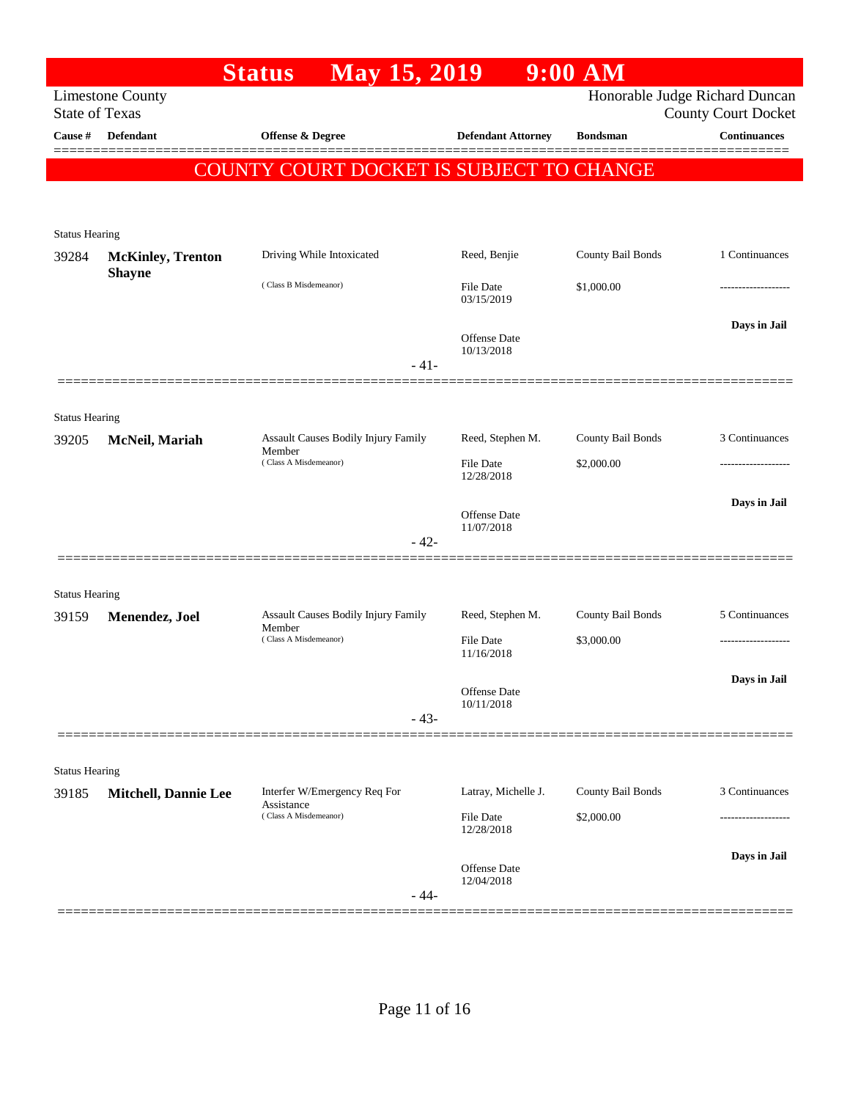| <b>Limestone County</b><br><b>State of Texas</b><br><b>Defendant</b> |                                                                                                                             |                                                                                                                                                         | Honorable Judge Richard Duncan                                                                                                          |                                                                           |
|----------------------------------------------------------------------|-----------------------------------------------------------------------------------------------------------------------------|---------------------------------------------------------------------------------------------------------------------------------------------------------|-----------------------------------------------------------------------------------------------------------------------------------------|---------------------------------------------------------------------------|
|                                                                      |                                                                                                                             |                                                                                                                                                         |                                                                                                                                         | <b>County Court Docket</b>                                                |
|                                                                      | <b>Offense &amp; Degree</b>                                                                                                 | <b>Defendant Attorney</b>                                                                                                                               | <b>Bondsman</b>                                                                                                                         | <b>Continuances</b>                                                       |
|                                                                      | COUNTY COURT DOCKET IS SUBJECT TO CHANGE                                                                                    |                                                                                                                                                         |                                                                                                                                         |                                                                           |
|                                                                      |                                                                                                                             |                                                                                                                                                         |                                                                                                                                         |                                                                           |
|                                                                      |                                                                                                                             |                                                                                                                                                         |                                                                                                                                         |                                                                           |
|                                                                      |                                                                                                                             |                                                                                                                                                         |                                                                                                                                         | 1 Continuances                                                            |
| <b>Shayne</b>                                                        |                                                                                                                             |                                                                                                                                                         |                                                                                                                                         |                                                                           |
|                                                                      |                                                                                                                             | 03/15/2019                                                                                                                                              | \$1,000.00                                                                                                                              |                                                                           |
|                                                                      |                                                                                                                             |                                                                                                                                                         |                                                                                                                                         | Days in Jail                                                              |
|                                                                      |                                                                                                                             | 10/13/2018                                                                                                                                              |                                                                                                                                         |                                                                           |
|                                                                      |                                                                                                                             |                                                                                                                                                         |                                                                                                                                         |                                                                           |
|                                                                      |                                                                                                                             |                                                                                                                                                         |                                                                                                                                         |                                                                           |
|                                                                      |                                                                                                                             | Reed, Stephen M.                                                                                                                                        |                                                                                                                                         | 3 Continuances                                                            |
|                                                                      | Member<br>(Class A Misdemeanor)                                                                                             | <b>File Date</b>                                                                                                                                        | \$2,000.00                                                                                                                              |                                                                           |
|                                                                      |                                                                                                                             |                                                                                                                                                         |                                                                                                                                         |                                                                           |
|                                                                      |                                                                                                                             | Offense Date                                                                                                                                            |                                                                                                                                         | Days in Jail                                                              |
|                                                                      | $-42-$                                                                                                                      |                                                                                                                                                         |                                                                                                                                         |                                                                           |
|                                                                      |                                                                                                                             |                                                                                                                                                         |                                                                                                                                         |                                                                           |
| <b>Status Hearing</b>                                                |                                                                                                                             |                                                                                                                                                         |                                                                                                                                         |                                                                           |
| Menendez, Joel                                                       | Assault Causes Bodily Injury Family                                                                                         | Reed, Stephen M.                                                                                                                                        | County Bail Bonds                                                                                                                       | 5 Continuances                                                            |
|                                                                      | (Class A Misdemeanor)                                                                                                       | File Date<br>11/16/2018                                                                                                                                 | \$3,000.00                                                                                                                              |                                                                           |
|                                                                      |                                                                                                                             |                                                                                                                                                         |                                                                                                                                         | Days in Jail                                                              |
|                                                                      |                                                                                                                             | Offense Date<br>10/11/2018                                                                                                                              |                                                                                                                                         |                                                                           |
|                                                                      | $-43-$                                                                                                                      |                                                                                                                                                         |                                                                                                                                         |                                                                           |
|                                                                      |                                                                                                                             |                                                                                                                                                         |                                                                                                                                         |                                                                           |
| <b>Status Hearing</b>                                                |                                                                                                                             |                                                                                                                                                         |                                                                                                                                         | 3 Continuances                                                            |
|                                                                      | Assistance<br>(Class A Misdemeanor)                                                                                         |                                                                                                                                                         |                                                                                                                                         |                                                                           |
|                                                                      |                                                                                                                             | 12/28/2018                                                                                                                                              |                                                                                                                                         |                                                                           |
|                                                                      |                                                                                                                             |                                                                                                                                                         |                                                                                                                                         | Days in Jail                                                              |
|                                                                      |                                                                                                                             | 12/04/2018                                                                                                                                              |                                                                                                                                         |                                                                           |
|                                                                      | <b>Status Hearing</b><br><b>McKinley, Trenton</b><br><b>Status Hearing</b><br>McNeil, Mariah<br><b>Mitchell, Dannie Lee</b> | Driving While Intoxicated<br>(Class B Misdemeanor)<br>$-41-$<br>Assault Causes Bodily Injury Family<br>Member<br>Interfer W/Emergency Req For<br>$-44-$ | Reed, Benjie<br><b>File Date</b><br>Offense Date<br>12/28/2018<br>11/07/2018<br>Latray, Michelle J.<br><b>File Date</b><br>Offense Date | County Bail Bonds<br>County Bail Bonds<br>County Bail Bonds<br>\$2,000.00 |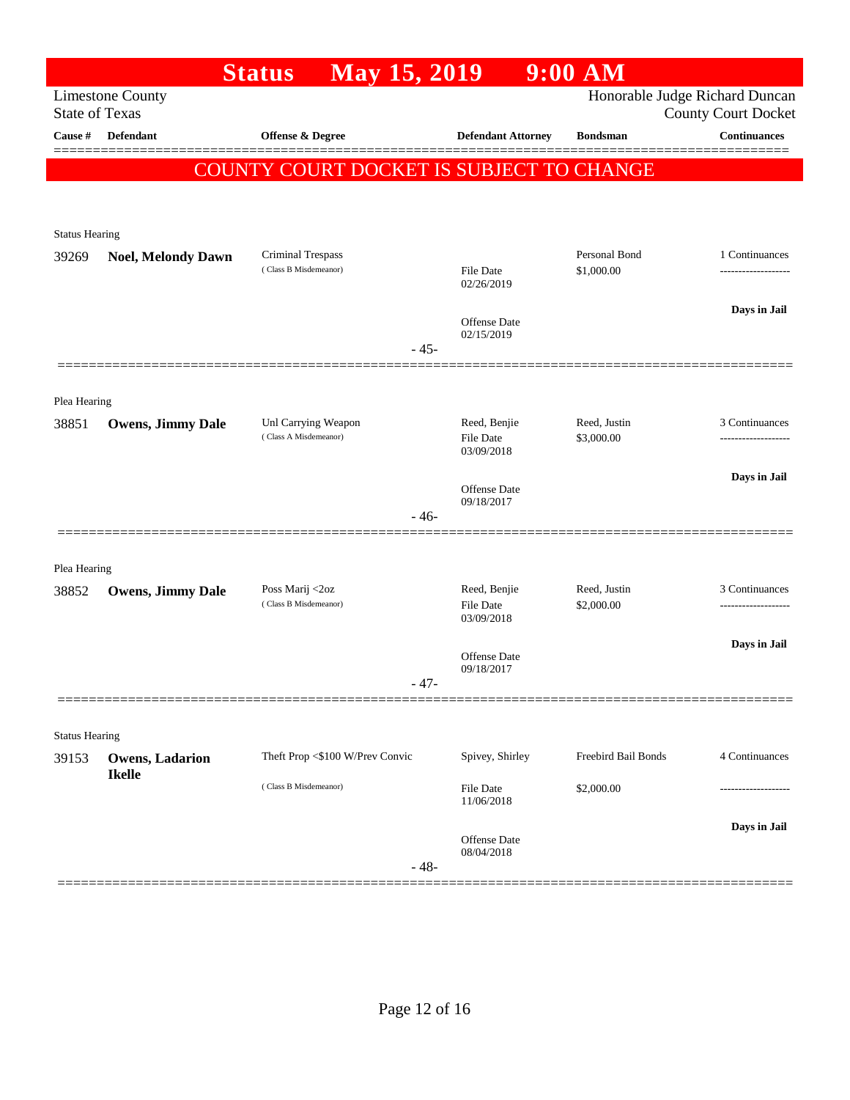|                                |                                         | <b>Status</b>                                   | May 15, 2019 |                                  | $9:00$ AM                  |                                                              |
|--------------------------------|-----------------------------------------|-------------------------------------------------|--------------|----------------------------------|----------------------------|--------------------------------------------------------------|
| <b>State of Texas</b>          | <b>Limestone County</b>                 |                                                 |              |                                  |                            | Honorable Judge Richard Duncan<br><b>County Court Docket</b> |
| Cause #                        | <b>Defendant</b>                        | Offense & Degree                                |              | <b>Defendant Attorney</b>        | <b>Bondsman</b>            | <b>Continuances</b>                                          |
|                                |                                         | <b>COUNTY COURT DOCKET IS SUBJECT TO CHANGE</b> |              |                                  |                            |                                                              |
|                                |                                         |                                                 |              |                                  |                            |                                                              |
| <b>Status Hearing</b>          |                                         |                                                 |              |                                  |                            |                                                              |
| 39269                          | <b>Noel, Melondy Dawn</b>               | <b>Criminal Trespass</b>                        |              |                                  | Personal Bond              | 1 Continuances                                               |
|                                |                                         | (Class B Misdemeanor)                           |              | <b>File Date</b><br>02/26/2019   | \$1,000.00                 |                                                              |
|                                |                                         |                                                 |              | Offense Date                     |                            | Days in Jail                                                 |
|                                |                                         |                                                 | $-45-$       | 02/15/2019                       |                            |                                                              |
|                                |                                         |                                                 |              |                                  |                            |                                                              |
| Plea Hearing                   |                                         |                                                 |              |                                  |                            |                                                              |
| 38851                          | <b>Owens, Jimmy Dale</b>                | Unl Carrying Weapon<br>(Class A Misdemeanor)    |              | Reed, Benjie<br><b>File Date</b> | Reed, Justin<br>\$3,000.00 | 3 Continuances                                               |
|                                |                                         |                                                 |              | 03/09/2018                       |                            |                                                              |
|                                |                                         |                                                 |              | Offense Date                     |                            | Days in Jail                                                 |
|                                |                                         |                                                 | $-46-$       | 09/18/2017                       |                            |                                                              |
|                                |                                         |                                                 |              |                                  |                            |                                                              |
| Plea Hearing                   |                                         |                                                 |              |                                  |                            |                                                              |
| 38852                          | <b>Owens, Jimmy Dale</b>                | Poss Marij <2oz<br>(Class B Misdemeanor)        |              | Reed, Benjie<br><b>File Date</b> | Reed, Justin<br>\$2,000.00 | 3 Continuances                                               |
|                                |                                         |                                                 |              | 03/09/2018                       |                            |                                                              |
|                                |                                         |                                                 |              | Offense Date<br>09/18/2017       |                            | Days in Jail                                                 |
|                                |                                         |                                                 | $-47-$       |                                  |                            |                                                              |
|                                |                                         |                                                 |              |                                  |                            |                                                              |
| <b>Status Hearing</b><br>39153 |                                         | Theft Prop <\$100 W/Prev Convic                 |              | Spivey, Shirley                  | Freebird Bail Bonds        | 4 Continuances                                               |
|                                | <b>Owens, Ladarion</b><br><b>Ikelle</b> | (Class B Misdemeanor)                           |              |                                  |                            |                                                              |
|                                |                                         |                                                 |              | <b>File Date</b><br>11/06/2018   | \$2,000.00                 |                                                              |
|                                |                                         |                                                 |              | Offense Date                     |                            | Days in Jail                                                 |
|                                |                                         |                                                 | $-48-$       | 08/04/2018                       |                            |                                                              |
|                                |                                         |                                                 |              |                                  |                            |                                                              |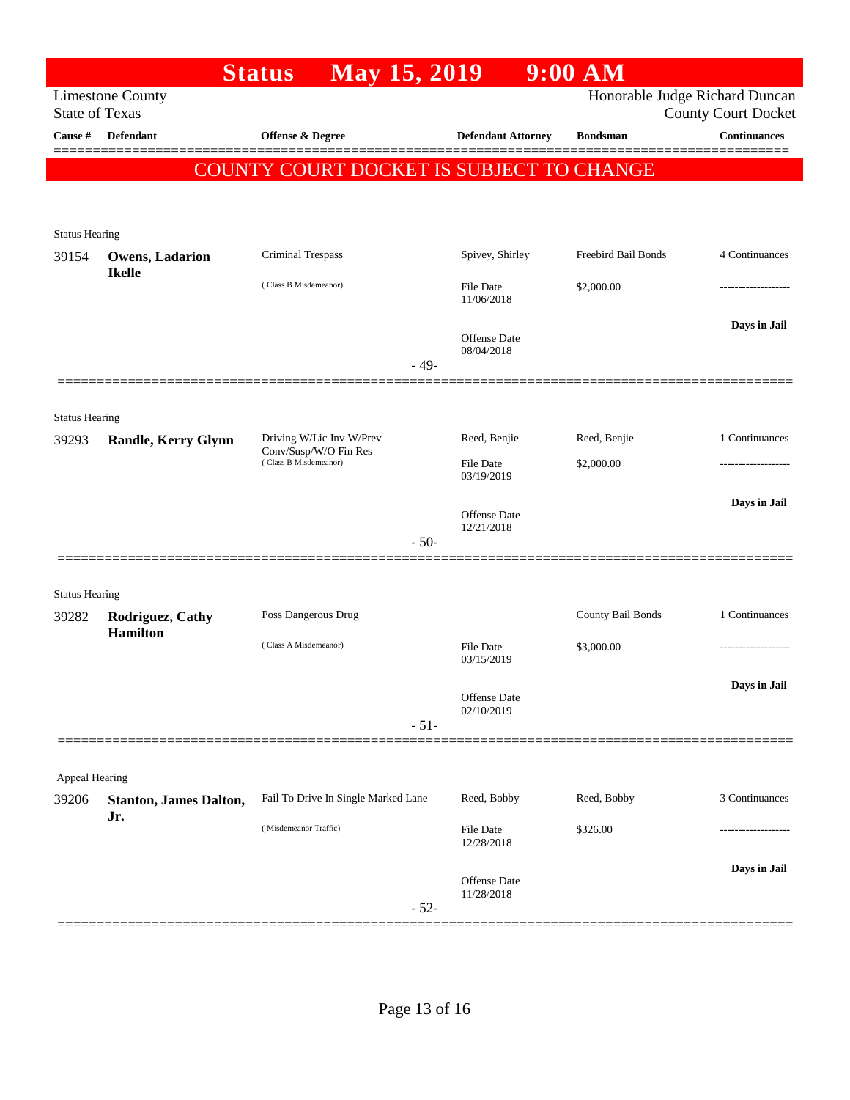|                                |                               | <b>Status</b><br><b>May 15, 2019</b>           |        |                                   | $9:00$ AM           |                                                              |
|--------------------------------|-------------------------------|------------------------------------------------|--------|-----------------------------------|---------------------|--------------------------------------------------------------|
| <b>State of Texas</b>          | <b>Limestone County</b>       |                                                |        |                                   |                     | Honorable Judge Richard Duncan<br><b>County Court Docket</b> |
| Cause #                        | <b>Defendant</b>              | Offense & Degree                               |        | <b>Defendant Attorney</b>         | <b>Bondsman</b>     | <b>Continuances</b>                                          |
|                                |                               | COUNTY COURT DOCKET IS SUBJECT TO CHANGE       |        |                                   |                     |                                                              |
|                                |                               |                                                |        |                                   |                     |                                                              |
|                                |                               |                                                |        |                                   |                     |                                                              |
| <b>Status Hearing</b><br>39154 | <b>Owens, Ladarion</b>        | Criminal Trespass                              |        | Spivey, Shirley                   | Freebird Bail Bonds | 4 Continuances                                               |
|                                | <b>Ikelle</b>                 |                                                |        |                                   |                     |                                                              |
|                                |                               | (Class B Misdemeanor)                          |        | File Date<br>11/06/2018           | \$2,000.00          |                                                              |
|                                |                               |                                                |        |                                   |                     | Days in Jail                                                 |
|                                |                               |                                                |        | <b>Offense</b> Date<br>08/04/2018 |                     |                                                              |
|                                |                               |                                                | $-49-$ |                                   |                     |                                                              |
|                                |                               |                                                |        |                                   |                     |                                                              |
| <b>Status Hearing</b>          |                               | Driving W/Lic Inv W/Prev                       |        | Reed, Benjie                      | Reed, Benjie        | 1 Continuances                                               |
| 39293                          | <b>Randle, Kerry Glynn</b>    | Conv/Susp/W/O Fin Res<br>(Class B Misdemeanor) |        | <b>File Date</b>                  | \$2,000.00          |                                                              |
|                                |                               |                                                |        | 03/19/2019                        |                     |                                                              |
|                                |                               |                                                |        | <b>Offense</b> Date               |                     | Days in Jail                                                 |
|                                |                               |                                                | $-50-$ | 12/21/2018                        |                     |                                                              |
|                                |                               |                                                |        |                                   |                     |                                                              |
| <b>Status Hearing</b>          |                               |                                                |        |                                   |                     |                                                              |
| 39282                          | Rodriguez, Cathy              | Poss Dangerous Drug                            |        |                                   | County Bail Bonds   | 1 Continuances                                               |
|                                | <b>Hamilton</b>               | (Class A Misdemeanor)                          |        | File Date                         | \$3,000.00          |                                                              |
|                                |                               |                                                |        | 03/15/2019                        |                     |                                                              |
|                                |                               |                                                |        | Offense Date                      |                     | Days in Jail                                                 |
|                                |                               |                                                | $-51-$ | 02/10/2019                        |                     |                                                              |
|                                |                               |                                                |        |                                   |                     |                                                              |
| Appeal Hearing                 |                               |                                                |        |                                   |                     |                                                              |
| 39206                          | <b>Stanton, James Dalton,</b> | Fail To Drive In Single Marked Lane            |        | Reed, Bobby                       | Reed, Bobby         | 3 Continuances                                               |
|                                | Jr.                           | (Misdemeanor Traffic)                          |        | File Date                         | \$326.00            |                                                              |
|                                |                               |                                                |        | 12/28/2018                        |                     |                                                              |
|                                |                               |                                                |        | Offense Date                      |                     | Days in Jail                                                 |
|                                |                               |                                                | $-52-$ | 11/28/2018                        |                     |                                                              |
|                                |                               |                                                |        |                                   |                     |                                                              |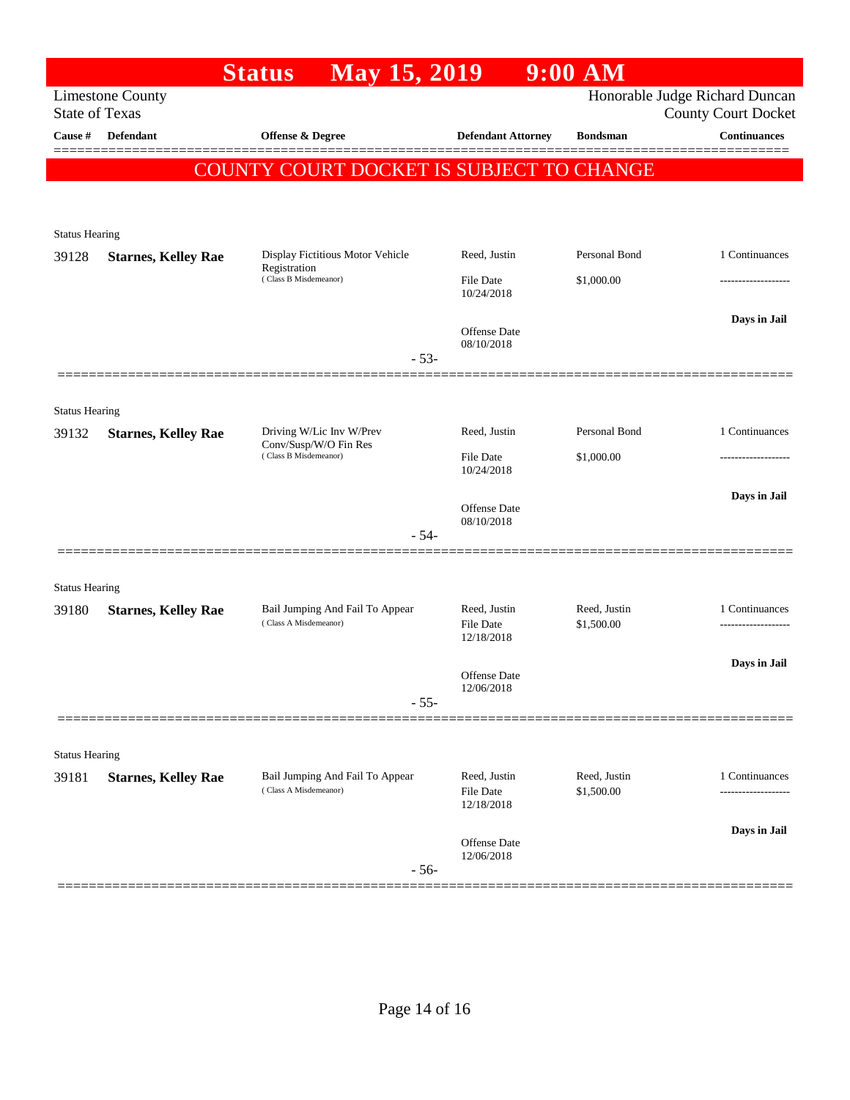|                       |                                                               | May 15, 2019<br><b>Status</b>                                             |                                   | $9:00$ AM                  |                                                              |
|-----------------------|---------------------------------------------------------------|---------------------------------------------------------------------------|-----------------------------------|----------------------------|--------------------------------------------------------------|
|                       | <b>Limestone County</b><br><b>State of Texas</b>              |                                                                           |                                   |                            | Honorable Judge Richard Duncan<br><b>County Court Docket</b> |
| Cause #               | Defendant                                                     | Offense & Degree                                                          | <b>Defendant Attorney</b>         | <b>Bondsman</b>            | <b>Continuances</b>                                          |
|                       |                                                               | COUNTY COURT DOCKET IS SUBJECT TO CHANGE                                  |                                   |                            |                                                              |
|                       |                                                               |                                                                           |                                   |                            |                                                              |
|                       |                                                               |                                                                           |                                   |                            |                                                              |
| <b>Status Hearing</b> |                                                               |                                                                           |                                   |                            |                                                              |
| 39128                 | <b>Starnes, Kelley Rae</b>                                    | Display Fictitious Motor Vehicle<br>Registration<br>(Class B Misdemeanor) | Reed, Justin                      | Personal Bond              | 1 Continuances                                               |
|                       |                                                               |                                                                           | File Date<br>10/24/2018           | \$1,000.00                 | -----------------                                            |
|                       |                                                               |                                                                           |                                   |                            | Days in Jail                                                 |
|                       |                                                               |                                                                           | <b>Offense Date</b><br>08/10/2018 |                            |                                                              |
|                       |                                                               | $-53-$                                                                    |                                   |                            |                                                              |
|                       |                                                               |                                                                           |                                   |                            |                                                              |
| <b>Status Hearing</b> |                                                               |                                                                           |                                   |                            |                                                              |
| 39132                 | <b>Starnes, Kelley Rae</b>                                    | Driving W/Lic Inv W/Prev<br>Conv/Susp/W/O Fin Res                         | Reed, Justin                      | Personal Bond              | 1 Continuances                                               |
|                       |                                                               | (Class B Misdemeanor)                                                     | <b>File Date</b><br>10/24/2018    | \$1,000.00                 |                                                              |
|                       |                                                               |                                                                           |                                   |                            | Days in Jail                                                 |
|                       |                                                               |                                                                           | <b>Offense Date</b><br>08/10/2018 |                            |                                                              |
|                       |                                                               | $-54-$                                                                    |                                   |                            |                                                              |
|                       |                                                               |                                                                           |                                   |                            |                                                              |
| <b>Status Hearing</b> |                                                               |                                                                           |                                   |                            |                                                              |
| 39180                 | <b>Starnes, Kelley Rae</b>                                    | Bail Jumping And Fail To Appear<br>(Class A Misdemeanor)                  | Reed, Justin<br>File Date         | Reed, Justin<br>\$1,500.00 | 1 Continuances<br>-------------------                        |
|                       |                                                               |                                                                           | 12/18/2018                        |                            |                                                              |
|                       |                                                               |                                                                           | <b>Offense</b> Date               |                            | Days in Jail                                                 |
|                       |                                                               | $-55-$                                                                    | 12/06/2018                        |                            |                                                              |
|                       |                                                               |                                                                           |                                   |                            |                                                              |
| <b>Status Hearing</b> |                                                               |                                                                           |                                   |                            |                                                              |
| 39181                 | Bail Jumping And Fail To Appear<br><b>Starnes, Kelley Rae</b> |                                                                           | Reed, Justin                      | Reed, Justin               | 1 Continuances                                               |
|                       |                                                               | (Class A Misdemeanor)                                                     | File Date<br>12/18/2018           | \$1,500.00                 |                                                              |
|                       |                                                               |                                                                           |                                   |                            | Days in Jail                                                 |
|                       |                                                               |                                                                           | Offense Date<br>12/06/2018        |                            |                                                              |
|                       |                                                               | $-56-$                                                                    |                                   |                            |                                                              |
|                       |                                                               |                                                                           |                                   |                            |                                                              |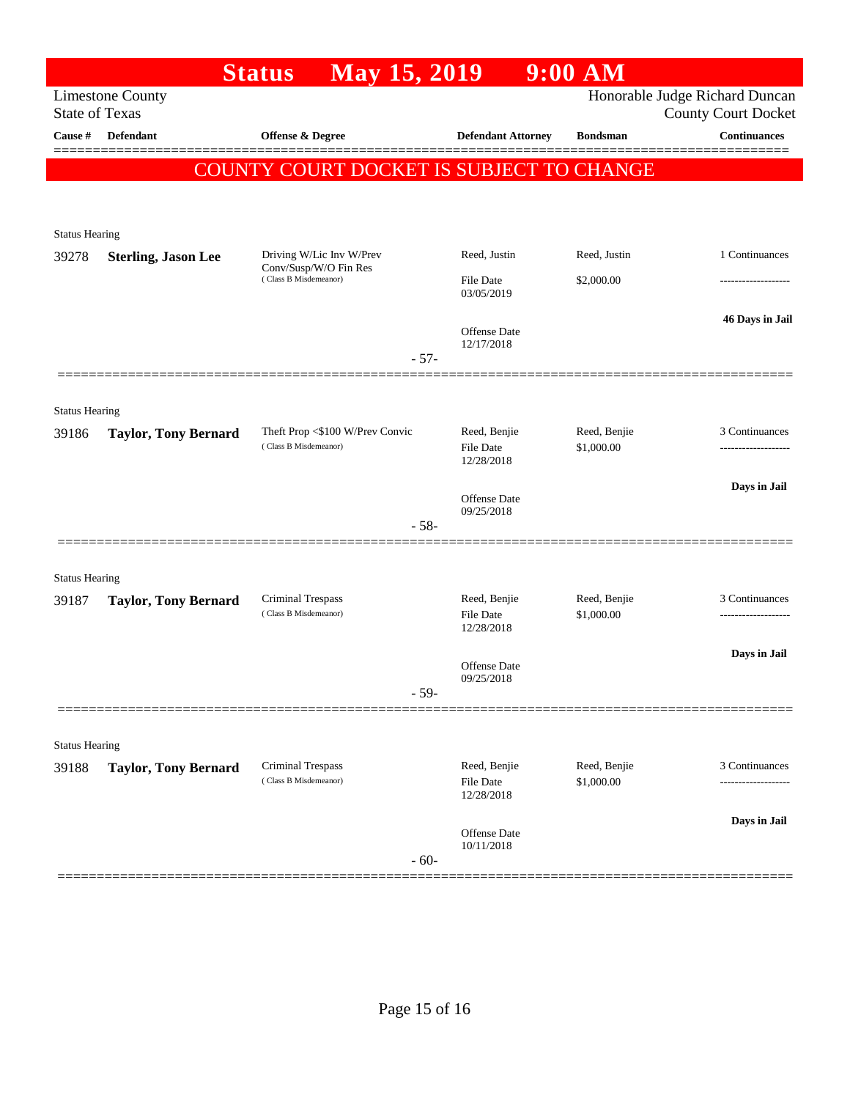|                                                                                                                  |                             | <b>May 15, 2019</b><br><b>Status</b>                     |        |                                         | $9:00$ AM                  |                     |  |  |
|------------------------------------------------------------------------------------------------------------------|-----------------------------|----------------------------------------------------------|--------|-----------------------------------------|----------------------------|---------------------|--|--|
| Honorable Judge Richard Duncan<br><b>Limestone County</b><br><b>State of Texas</b><br><b>County Court Docket</b> |                             |                                                          |        |                                         |                            |                     |  |  |
| Cause #                                                                                                          | Defendant                   | Offense & Degree                                         |        | <b>Defendant Attorney</b>               | <b>Bondsman</b>            | <b>Continuances</b> |  |  |
| COUNTY COURT DOCKET IS SUBJECT TO CHANGE                                                                         |                             |                                                          |        |                                         |                            |                     |  |  |
|                                                                                                                  |                             |                                                          |        |                                         |                            |                     |  |  |
| <b>Status Hearing</b>                                                                                            |                             |                                                          |        |                                         |                            |                     |  |  |
| 39278                                                                                                            | <b>Sterling, Jason Lee</b>  | Driving W/Lic Inv W/Prev                                 |        | Reed, Justin                            | Reed, Justin               | 1 Continuances      |  |  |
|                                                                                                                  |                             | Conv/Susp/W/O Fin Res<br>(Class B Misdemeanor)           |        | <b>File Date</b><br>03/05/2019          | \$2,000.00                 |                     |  |  |
|                                                                                                                  |                             |                                                          |        | <b>Offense</b> Date                     |                            | 46 Days in Jail     |  |  |
|                                                                                                                  |                             |                                                          | $-57-$ | 12/17/2018                              |                            |                     |  |  |
|                                                                                                                  |                             |                                                          |        |                                         |                            |                     |  |  |
| <b>Status Hearing</b>                                                                                            |                             |                                                          |        |                                         |                            |                     |  |  |
| 39186                                                                                                            | <b>Taylor, Tony Bernard</b> | Theft Prop <\$100 W/Prev Convic<br>(Class B Misdemeanor) |        | Reed, Benjie<br><b>File Date</b>        | Reed, Benjie<br>\$1,000.00 | 3 Continuances      |  |  |
|                                                                                                                  |                             |                                                          |        | 12/28/2018                              |                            | Days in Jail        |  |  |
|                                                                                                                  |                             |                                                          |        | Offense Date<br>09/25/2018              |                            |                     |  |  |
|                                                                                                                  |                             |                                                          | $-58-$ |                                         |                            |                     |  |  |
|                                                                                                                  |                             |                                                          |        |                                         |                            |                     |  |  |
| <b>Status Hearing</b><br>39187                                                                                   | <b>Taylor, Tony Bernard</b> | <b>Criminal Trespass</b><br>(Class B Misdemeanor)        |        | Reed, Benjie                            | Reed, Benjie               | 3 Continuances      |  |  |
|                                                                                                                  |                             |                                                          |        | <b>File Date</b><br>12/28/2018          | \$1,000.00                 |                     |  |  |
|                                                                                                                  |                             |                                                          |        | Offense Date                            |                            | Days in Jail        |  |  |
|                                                                                                                  |                             |                                                          | $-59-$ | 09/25/2018                              |                            |                     |  |  |
|                                                                                                                  |                             |                                                          |        |                                         |                            |                     |  |  |
| <b>Status Hearing</b>                                                                                            |                             |                                                          |        |                                         |                            |                     |  |  |
| 39188                                                                                                            | <b>Taylor, Tony Bernard</b> | Criminal Trespass<br>(Class B Misdemeanor)               |        | Reed, Benjie<br>File Date<br>12/28/2018 | Reed, Benjie<br>\$1,000.00 | 3 Continuances<br>  |  |  |
|                                                                                                                  |                             |                                                          |        |                                         |                            | Days in Jail        |  |  |
|                                                                                                                  |                             |                                                          | $-60-$ | Offense Date<br>10/11/2018              |                            |                     |  |  |